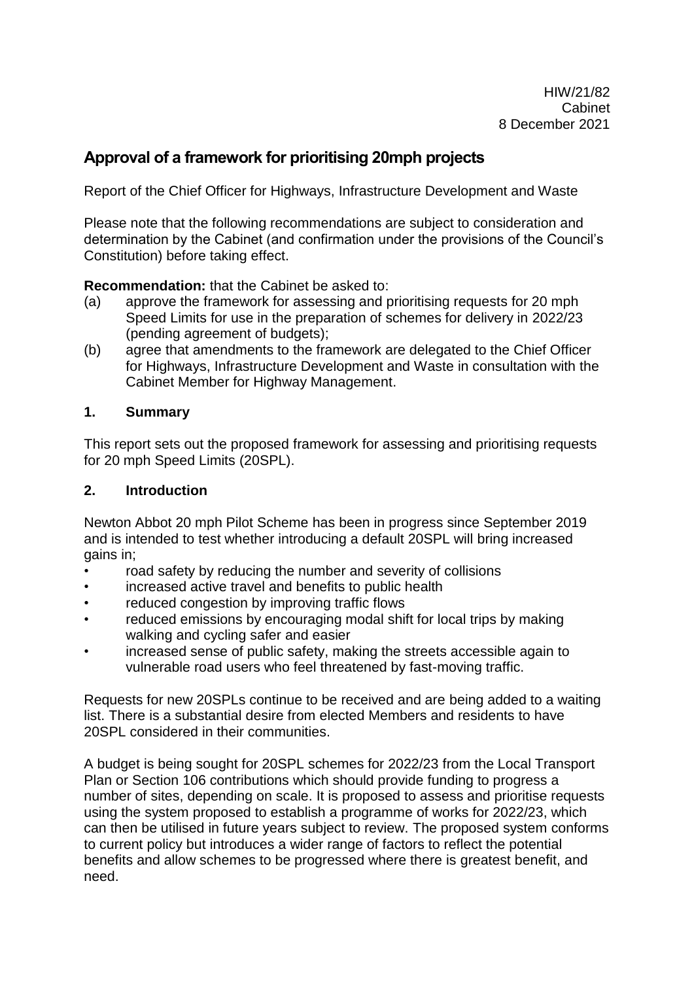# **Approval of a framework for prioritising 20mph projects**

Report of the Chief Officer for Highways, Infrastructure Development and Waste

Please note that the following recommendations are subject to consideration and determination by the Cabinet (and confirmation under the provisions of the Council's Constitution) before taking effect.

**Recommendation:** that the Cabinet be asked to:

- (a) approve the framework for assessing and prioritising requests for 20 mph Speed Limits for use in the preparation of schemes for delivery in 2022/23 (pending agreement of budgets);
- (b) agree that amendments to the framework are delegated to the Chief Officer for Highways, Infrastructure Development and Waste in consultation with the Cabinet Member for Highway Management.

#### **1. Summary**

This report sets out the proposed framework for assessing and prioritising requests for 20 mph Speed Limits (20SPL).

### **2. Introduction**

Newton Abbot 20 mph Pilot Scheme has been in progress since September 2019 and is intended to test whether introducing a default 20SPL will bring increased gains in;

- road safety by reducing the number and severity of collisions
- increased active travel and benefits to public health
- reduced congestion by improving traffic flows
- reduced emissions by encouraging modal shift for local trips by making walking and cycling safer and easier
- increased sense of public safety, making the streets accessible again to vulnerable road users who feel threatened by fast-moving traffic.

Requests for new 20SPLs continue to be received and are being added to a waiting list. There is a substantial desire from elected Members and residents to have 20SPL considered in their communities.

A budget is being sought for 20SPL schemes for 2022/23 from the Local Transport Plan or Section 106 contributions which should provide funding to progress a number of sites, depending on scale. It is proposed to assess and prioritise requests using the system proposed to establish a programme of works for 2022/23, which can then be utilised in future years subject to review. The proposed system conforms to current policy but introduces a wider range of factors to reflect the potential benefits and allow schemes to be progressed where there is greatest benefit, and need.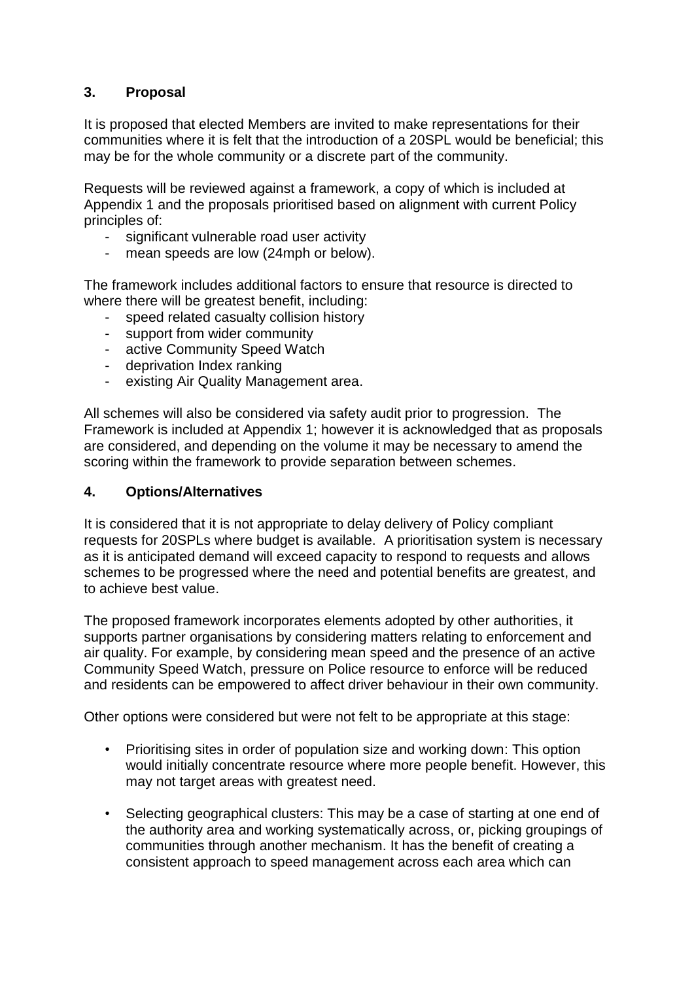# **3. Proposal**

It is proposed that elected Members are invited to make representations for their communities where it is felt that the introduction of a 20SPL would be beneficial; this may be for the whole community or a discrete part of the community.

Requests will be reviewed against a framework, a copy of which is included at Appendix 1 and the proposals prioritised based on alignment with current Policy principles of:

- significant vulnerable road user activity
- mean speeds are low (24mph or below).

The framework includes additional factors to ensure that resource is directed to where there will be greatest benefit, including:

- speed related casualty collision history
- support from wider community
- active Community Speed Watch
- deprivation Index ranking
- existing Air Quality Management area.

All schemes will also be considered via safety audit prior to progression. The Framework is included at Appendix 1; however it is acknowledged that as proposals are considered, and depending on the volume it may be necessary to amend the scoring within the framework to provide separation between schemes.

#### **4. Options/Alternatives**

It is considered that it is not appropriate to delay delivery of Policy compliant requests for 20SPLs where budget is available. A prioritisation system is necessary as it is anticipated demand will exceed capacity to respond to requests and allows schemes to be progressed where the need and potential benefits are greatest, and to achieve best value.

The proposed framework incorporates elements adopted by other authorities, it supports partner organisations by considering matters relating to enforcement and air quality. For example, by considering mean speed and the presence of an active Community Speed Watch, pressure on Police resource to enforce will be reduced and residents can be empowered to affect driver behaviour in their own community.

Other options were considered but were not felt to be appropriate at this stage:

- Prioritising sites in order of population size and working down: This option would initially concentrate resource where more people benefit. However, this may not target areas with greatest need.
- Selecting geographical clusters: This may be a case of starting at one end of the authority area and working systematically across, or, picking groupings of communities through another mechanism. It has the benefit of creating a consistent approach to speed management across each area which can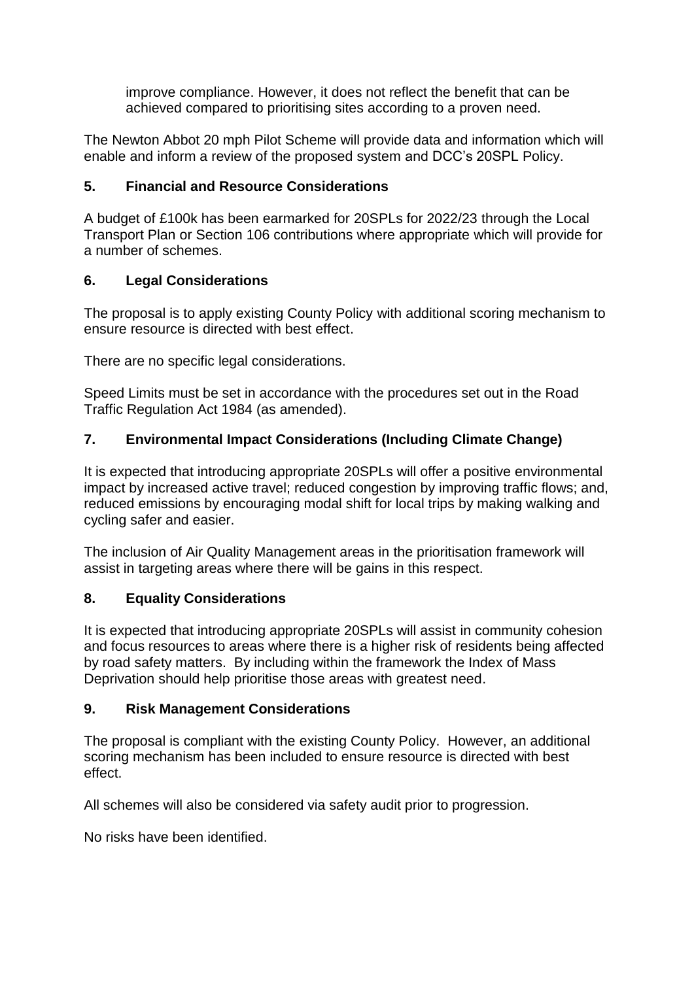improve compliance. However, it does not reflect the benefit that can be achieved compared to prioritising sites according to a proven need.

The Newton Abbot 20 mph Pilot Scheme will provide data and information which will enable and inform a review of the proposed system and DCC's 20SPL Policy.

## **5. Financial and Resource Considerations**

A budget of £100k has been earmarked for 20SPLs for 2022/23 through the Local Transport Plan or Section 106 contributions where appropriate which will provide for a number of schemes.

# **6. Legal Considerations**

The proposal is to apply existing County Policy with additional scoring mechanism to ensure resource is directed with best effect.

There are no specific legal considerations.

Speed Limits must be set in accordance with the procedures set out in the Road Traffic Regulation Act 1984 (as amended).

# **7. Environmental Impact Considerations (Including Climate Change)**

It is expected that introducing appropriate 20SPLs will offer a positive environmental impact by increased active travel; reduced congestion by improving traffic flows; and, reduced emissions by encouraging modal shift for local trips by making walking and cycling safer and easier.

The inclusion of Air Quality Management areas in the prioritisation framework will assist in targeting areas where there will be gains in this respect.

## **8. Equality Considerations**

It is expected that introducing appropriate 20SPLs will assist in community cohesion and focus resources to areas where there is a higher risk of residents being affected by road safety matters. By including within the framework the Index of Mass Deprivation should help prioritise those areas with greatest need.

## **9. Risk Management Considerations**

The proposal is compliant with the existing County Policy. However, an additional scoring mechanism has been included to ensure resource is directed with best effect.

All schemes will also be considered via safety audit prior to progression.

No risks have been identified.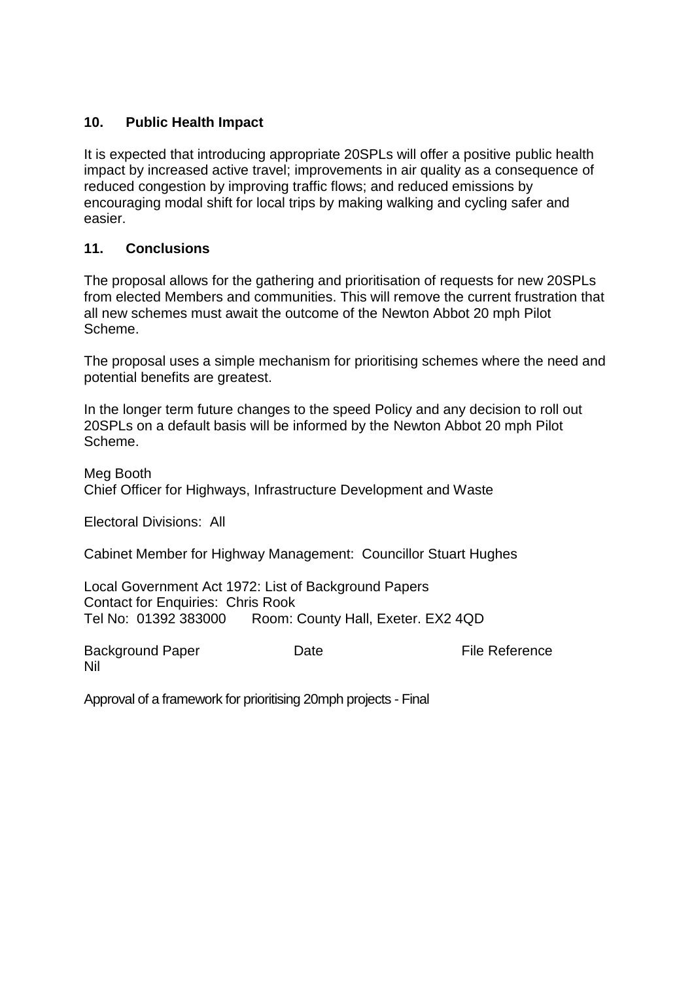### **10. Public Health Impact**

It is expected that introducing appropriate 20SPLs will offer a positive public health impact by increased active travel; improvements in air quality as a consequence of reduced congestion by improving traffic flows; and reduced emissions by encouraging modal shift for local trips by making walking and cycling safer and easier.

#### **11. Conclusions**

The proposal allows for the gathering and prioritisation of requests for new 20SPLs from elected Members and communities. This will remove the current frustration that all new schemes must await the outcome of the Newton Abbot 20 mph Pilot Scheme.

The proposal uses a simple mechanism for prioritising schemes where the need and potential benefits are greatest.

In the longer term future changes to the speed Policy and any decision to roll out 20SPLs on a default basis will be informed by the Newton Abbot 20 mph Pilot Scheme.

Meg Booth Chief Officer for Highways, Infrastructure Development and Waste

Electoral Divisions: All

Cabinet Member for Highway Management: Councillor Stuart Hughes

Local Government Act 1972: List of Background Papers Contact for Enquiries: Chris Rook Tel No: 01392 383000 Room: County Hall, Exeter. EX2 4QD

Background Paper **Date Date File Reference** Nil

Approval of a framework for prioritising 20mph projects - Final